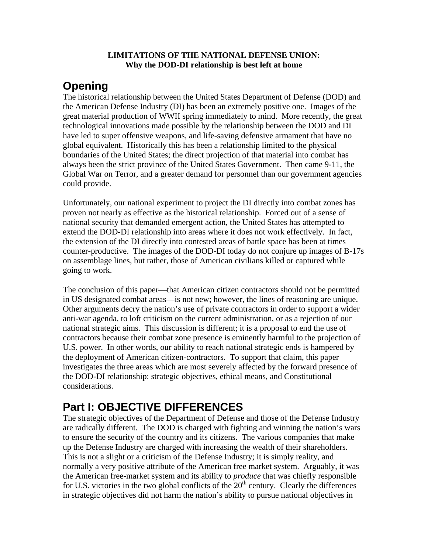#### **LIMITATIONS OF THE NATIONAL DEFENSE UNION: Why the DOD-DI relationship is best left at home**

# **Opening**

The historical relationship between the United States Department of Defense (DOD) and the American Defense Industry (DI) has been an extremely positive one. Images of the great material production of WWII spring immediately to mind. More recently, the great technological innovations made possible by the relationship between the DOD and DI have led to super offensive weapons, and life-saving defensive armament that have no global equivalent. Historically this has been a relationship limited to the physical boundaries of the United States; the direct projection of that material into combat has always been the strict province of the United States Government. Then came 9-11, the Global War on Terror, and a greater demand for personnel than our government agencies could provide.

Unfortunately, our national experiment to project the DI directly into combat zones has proven not nearly as effective as the historical relationship. Forced out of a sense of national security that demanded emergent action, the United States has attempted to extend the DOD-DI relationship into areas where it does not work effectively. In fact, the extension of the DI directly into contested areas of battle space has been at times counter-productive. The images of the DOD-DI today do not conjure up images of B-17s on assemblage lines, but rather, those of American civilians killed or captured while going to work.

The conclusion of this paper—that American citizen contractors should not be permitted in US designated combat areas—is not new; however, the lines of reasoning are unique. Other arguments decry the nation's use of private contractors in order to support a wider anti-war agenda, to loft criticism on the current administration, or as a rejection of our national strategic aims. This discussion is different; it is a proposal to end the use of contractors because their combat zone presence is eminently harmful to the projection of U.S. power. In other words, our ability to reach national strategic ends is hampered by the deployment of American citizen-contractors. To support that claim, this paper investigates the three areas which are most severely affected by the forward presence of the DOD-DI relationship: strategic objectives, ethical means, and Constitutional considerations.

# **Part I: OBJECTIVE DIFFERENCES**

The strategic objectives of the Department of Defense and those of the Defense Industry are radically different. The DOD is charged with fighting and winning the nation's wars to ensure the security of the country and its citizens. The various companies that make up the Defense Industry are charged with increasing the wealth of their shareholders. This is not a slight or a criticism of the Defense Industry; it is simply reality, and normally a very positive attribute of the American free market system. Arguably, it was the American free-market system and its ability to *produce* that was chiefly responsible for U.S. victories in the two global conflicts of the  $20<sup>th</sup>$  century. Clearly the differences in strategic objectives did not harm the nation's ability to pursue national objectives in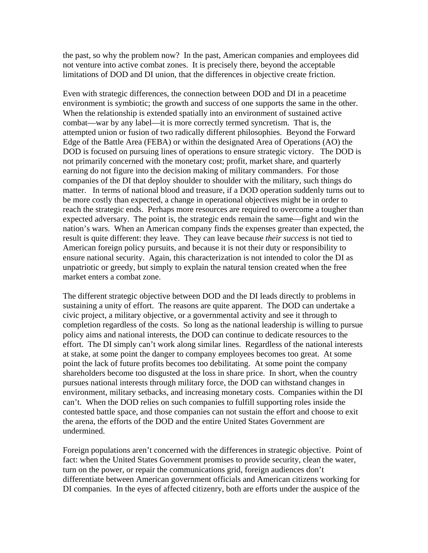the past, so why the problem now? In the past, American companies and employees did not venture into active combat zones. It is precisely there, beyond the acceptable limitations of DOD and DI union, that the differences in objective create friction.

Even with strategic differences, the connection between DOD and DI in a peacetime environment is symbiotic; the growth and success of one supports the same in the other. When the relationship is extended spatially into an environment of sustained active combat—war by any label—it is more correctly termed syncretism. That is, the attempted union or fusion of two radically different philosophies. Beyond the Forward Edge of the Battle Area (FEBA) or within the designated Area of Operations (AO) the DOD is focused on pursuing lines of operations to ensure strategic victory. The DOD is not primarily concerned with the monetary cost; profit, market share, and quarterly earning do not figure into the decision making of military commanders. For those companies of the DI that deploy shoulder to shoulder with the military, such things do matter. In terms of national blood and treasure, if a DOD operation suddenly turns out to be more costly than expected, a change in operational objectives might be in order to reach the strategic ends. Perhaps more resources are required to overcome a tougher than expected adversary. The point is, the strategic ends remain the same—fight and win the nation's wars. When an American company finds the expenses greater than expected, the result is quite different: they leave. They can leave because *their success* is not tied to American foreign policy pursuits, and because it is not their duty or responsibility to ensure national security. Again, this characterization is not intended to color the DI as unpatriotic or greedy, but simply to explain the natural tension created when the free market enters a combat zone.

The different strategic objective between DOD and the DI leads directly to problems in sustaining a unity of effort. The reasons are quite apparent. The DOD can undertake a civic project, a military objective, or a governmental activity and see it through to completion regardless of the costs. So long as the national leadership is willing to pursue policy aims and national interests, the DOD can continue to dedicate resources to the effort. The DI simply can't work along similar lines. Regardless of the national interests at stake, at some point the danger to company employees becomes too great. At some point the lack of future profits becomes too debilitating. At some point the company shareholders become too disgusted at the loss in share price. In short, when the country pursues national interests through military force, the DOD can withstand changes in environment, military setbacks, and increasing monetary costs. Companies within the DI can't. When the DOD relies on such companies to fulfill supporting roles inside the contested battle space, and those companies can not sustain the effort and choose to exit the arena, the efforts of the DOD and the entire United States Government are undermined.

Foreign populations aren't concerned with the differences in strategic objective. Point of fact: when the United States Government promises to provide security, clean the water, turn on the power, or repair the communications grid, foreign audiences don't differentiate between American government officials and American citizens working for DI companies. In the eyes of affected citizenry, both are efforts under the auspice of the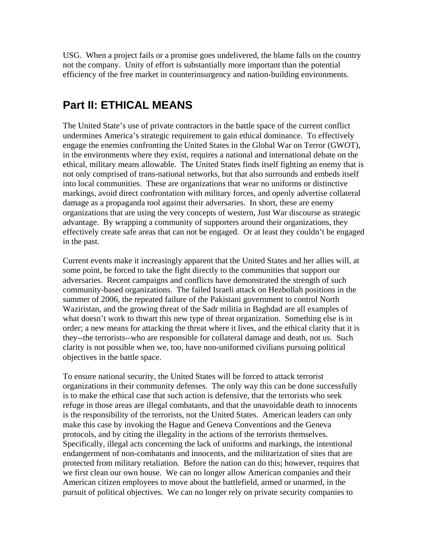USG. When a project fails or a promise goes undelivered, the blame falls on the country not the company. Unity of effort is substantially more important than the potential efficiency of the free market in counterinsurgency and nation-building environments.

### **Part II: ETHICAL MEANS**

The United State's use of private contractors in the battle space of the current conflict undermines America's strategic requirement to gain ethical dominance. To effectively engage the enemies confronting the United States in the Global War on Terror (GWOT), in the environments where they exist, requires a national and international debate on the ethical, military means allowable. The United States finds itself fighting an enemy that is not only comprised of trans-national networks, but that also surrounds and embeds itself into local communities. These are organizations that wear no uniforms or distinctive markings, avoid direct confrontation with military forces, and openly advertise collateral damage as a propaganda tool against their adversaries. In short, these are enemy organizations that are using the very concepts of western, Just War discourse as strategic advantage. By wrapping a community of supporters around their organizations, they effectively create safe areas that can not be engaged. Or at least they couldn't be engaged in the past.

Current events make it increasingly apparent that the United States and her allies will, at some point, be forced to take the fight directly to the communities that support our adversaries. Recent campaigns and conflicts have demonstrated the strength of such community-based organizations. The failed Israeli attack on Hezbollah positions in the summer of 2006, the repeated failure of the Pakistani government to control North Waziristan, and the growing threat of the Sadr militia in Baghdad are all examples of what doesn't work to thwart this new type of threat organization. Something else is in order; a new means for attacking the threat where it lives, and the ethical clarity that it is they--the terrorists--who are responsible for collateral damage and death, not us. Such clarity is not possible when we, too, have non-uniformed civilians pursuing political objectives in the battle space.

To ensure national security, the United States will be forced to attack terrorist organizations in their community defenses. The only way this can be done successfully is to make the ethical case that such action is defensive, that the terrorists who seek refuge in those areas are illegal combatants, and that the unavoidable death to innocents is the responsibility of the terrorists, not the United States. American leaders can only make this case by invoking the Hague and Geneva Conventions and the Geneva protocols, and by citing the illegality in the actions of the terrorists themselves. Specifically, illegal acts concerning the lack of uniforms and markings, the intentional endangerment of non-combatants and innocents, and the militarization of sites that are protected from military retaliation. Before the nation can do this; however, requires that we first clean our own house. We can no longer allow American companies and their American citizen employees to move about the battlefield, armed or unarmed, in the pursuit of political objectives. We can no longer rely on private security companies to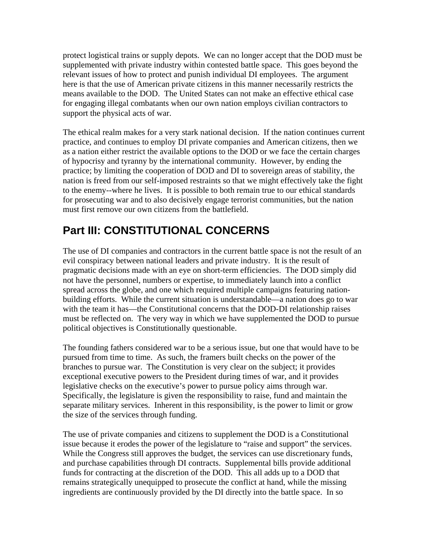protect logistical trains or supply depots. We can no longer accept that the DOD must be supplemented with private industry within contested battle space. This goes beyond the relevant issues of how to protect and punish individual DI employees. The argument here is that the use of American private citizens in this manner necessarily restricts the means available to the DOD. The United States can not make an effective ethical case for engaging illegal combatants when our own nation employs civilian contractors to support the physical acts of war.

The ethical realm makes for a very stark national decision. If the nation continues current practice, and continues to employ DI private companies and American citizens, then we as a nation either restrict the available options to the DOD or we face the certain charges of hypocrisy and tyranny by the international community. However, by ending the practice; by limiting the cooperation of DOD and DI to sovereign areas of stability, the nation is freed from our self-imposed restraints so that we might effectively take the fight to the enemy--where he lives. It is possible to both remain true to our ethical standards for prosecuting war and to also decisively engage terrorist communities, but the nation must first remove our own citizens from the battlefield.

# **Part III: CONSTITUTIONAL CONCERNS**

The use of DI companies and contractors in the current battle space is not the result of an evil conspiracy between national leaders and private industry. It is the result of pragmatic decisions made with an eye on short-term efficiencies. The DOD simply did not have the personnel, numbers or expertise, to immediately launch into a conflict spread across the globe, and one which required multiple campaigns featuring nationbuilding efforts. While the current situation is understandable—a nation does go to war with the team it has—the Constitutional concerns that the DOD-DI relationship raises must be reflected on. The very way in which we have supplemented the DOD to pursue political objectives is Constitutionally questionable.

The founding fathers considered war to be a serious issue, but one that would have to be pursued from time to time. As such, the framers built checks on the power of the branches to pursue war. The Constitution is very clear on the subject; it provides exceptional executive powers to the President during times of war, and it provides legislative checks on the executive's power to pursue policy aims through war. Specifically, the legislature is given the responsibility to raise, fund and maintain the separate military services. Inherent in this responsibility, is the power to limit or grow the size of the services through funding.

The use of private companies and citizens to supplement the DOD is a Constitutional issue because it erodes the power of the legislature to "raise and support" the services. While the Congress still approves the budget, the services can use discretionary funds, and purchase capabilities through DI contracts. Supplemental bills provide additional funds for contracting at the discretion of the DOD. This all adds up to a DOD that remains strategically unequipped to prosecute the conflict at hand, while the missing ingredients are continuously provided by the DI directly into the battle space. In so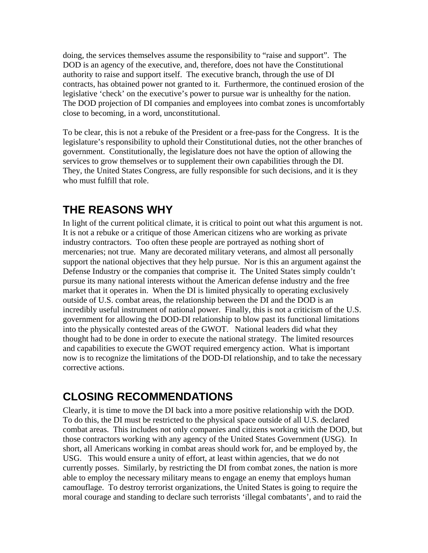doing, the services themselves assume the responsibility to "raise and support". The DOD is an agency of the executive, and, therefore, does not have the Constitutional authority to raise and support itself. The executive branch, through the use of DI contracts, has obtained power not granted to it. Furthermore, the continued erosion of the legislative 'check' on the executive's power to pursue war is unhealthy for the nation. The DOD projection of DI companies and employees into combat zones is uncomfortably close to becoming, in a word, unconstitutional.

To be clear, this is not a rebuke of the President or a free-pass for the Congress. It is the legislature's responsibility to uphold their Constitutional duties, not the other branches of government. Constitutionally, the legislature does not have the option of allowing the services to grow themselves or to supplement their own capabilities through the DI. They, the United States Congress, are fully responsible for such decisions, and it is they who must fulfill that role.

# **THE REASONS WHY**

In light of the current political climate, it is critical to point out what this argument is not. It is not a rebuke or a critique of those American citizens who are working as private industry contractors. Too often these people are portrayed as nothing short of mercenaries; not true. Many are decorated military veterans, and almost all personally support the national objectives that they help pursue. Nor is this an argument against the Defense Industry or the companies that comprise it. The United States simply couldn't pursue its many national interests without the American defense industry and the free market that it operates in. When the DI is limited physically to operating exclusively outside of U.S. combat areas, the relationship between the DI and the DOD is an incredibly useful instrument of national power. Finally, this is not a criticism of the U.S. government for allowing the DOD-DI relationship to blow past its functional limitations into the physically contested areas of the GWOT. National leaders did what they thought had to be done in order to execute the national strategy. The limited resources and capabilities to execute the GWOT required emergency action. What is important now is to recognize the limitations of the DOD-DI relationship, and to take the necessary corrective actions.

# **CLOSING RECOMMENDATIONS**

Clearly, it is time to move the DI back into a more positive relationship with the DOD. To do this, the DI must be restricted to the physical space outside of all U.S. declared combat areas. This includes not only companies and citizens working with the DOD, but those contractors working with any agency of the United States Government (USG). In short, all Americans working in combat areas should work for, and be employed by, the USG. This would ensure a unity of effort, at least within agencies, that we do not currently posses. Similarly, by restricting the DI from combat zones, the nation is more able to employ the necessary military means to engage an enemy that employs human camouflage. To destroy terrorist organizations, the United States is going to require the moral courage and standing to declare such terrorists 'illegal combatants', and to raid the